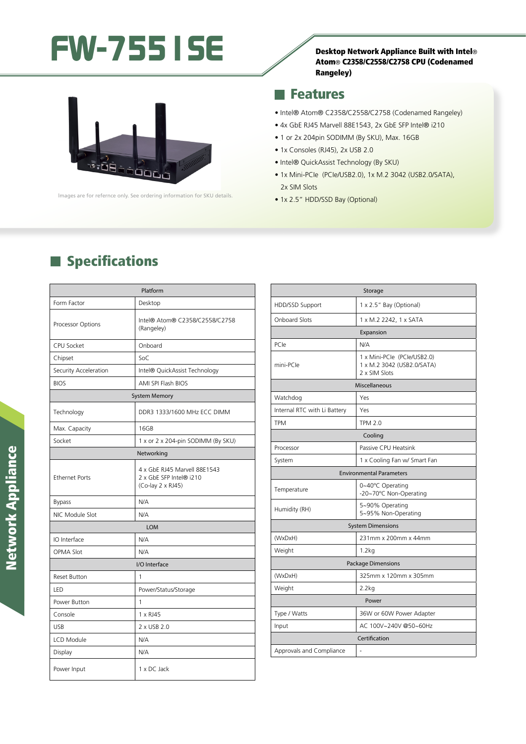## FW-7551SE SE



• 1x Consoles (RJ45), 2x USB 2.0

**Features** 

• Intel® QuickAssist Technology (By SKU)

• 1 or 2x 204pin SODIMM (By SKU), Max. 16GB

• 1x Mini-PCIe (PCIe/USB2.0), 1x M.2 3042 (USB2.0/SATA), 2x SIM Slots

• Intel® Atom® C2358/C2558/C2758 (Codenamed Rangeley) • 4x GbE RJ45 Marvell 88E1543, 2x GbE SFP Intel® i210

• 1x 2.5" HDD/SSD Bay (Optional)

### **Specifications**

|                       | Platform                                                                     |  |
|-----------------------|------------------------------------------------------------------------------|--|
| Form Factor           | Desktop                                                                      |  |
| Processor Options     | Intel® Atom® C2358/C2558/C2758<br>(Rangeley)                                 |  |
| CPU Socket            | Onboard                                                                      |  |
| Chipset               | SoC                                                                          |  |
| Security Acceleration | Intel® QuickAssist Technology                                                |  |
| <b>BIOS</b>           | AMI SPI Flash BIOS                                                           |  |
| <b>System Memory</b>  |                                                                              |  |
| Technology            | DDR3 1333/1600 MHz ECC DIMM                                                  |  |
| Max. Capacity         | 16GB                                                                         |  |
| Socket                | 1 x or 2 x 204-pin SODIMM (By SKU)                                           |  |
| Networking            |                                                                              |  |
| <b>Ethernet Ports</b> | 4 x GbE RJ45 Marvell 88E1543<br>2 x GbE SFP Intel® i210<br>(Co-lay 2 x RJ45) |  |
| <b>Bypass</b>         | N/A                                                                          |  |
| NIC Module Slot       | N/A                                                                          |  |
| <b>LOM</b>            |                                                                              |  |
| IO Interface          | N/A                                                                          |  |
| <b>OPMA Slot</b>      | N/A                                                                          |  |
| I/O Interface         |                                                                              |  |
| <b>Reset Button</b>   | 1                                                                            |  |
| LED                   | Power/Status/Storage                                                         |  |
| Power Button          | 1                                                                            |  |
| Console               | 1 x RJ45                                                                     |  |
| <b>USB</b>            | 2 x USB 2.0                                                                  |  |
| <b>LCD Module</b>     | N/A                                                                          |  |
| Display               | N/A                                                                          |  |
| Power Input           | 1 x DC Jack                                                                  |  |

| Storage                         |                                                                            |
|---------------------------------|----------------------------------------------------------------------------|
| HDD/SSD Support                 | 1 x 2.5" Bay (Optional)                                                    |
| <b>Onboard Slots</b>            | 1 x M.2 2242, 1 x SATA                                                     |
| Expansion                       |                                                                            |
| PCIe                            | N/A                                                                        |
| mini-PCle                       | 1 x Mini-PCle (PCle/USB2.0)<br>1 x M.2 3042 (USB2.0/SATA)<br>2 x SIM Slots |
| Miscellaneous                   |                                                                            |
| Watchdog                        | Yes                                                                        |
| Internal RTC with Li Battery    | Yes                                                                        |
| <b>TPM</b>                      | <b>TPM 2.0</b>                                                             |
| Cooling                         |                                                                            |
| Processor                       | Passive CPU Heatsink                                                       |
| System                          | 1 x Cooling Fan w/ Smart Fan                                               |
| <b>Environmental Parameters</b> |                                                                            |
| Temperature                     | 0~40°C Operating<br>-20~70°C Non-Operating                                 |
| Humidity (RH)                   | 5~90% Operating<br>5~95% Non-Operating                                     |
| <b>System Dimensions</b>        |                                                                            |
| (WxDxH)                         | 231mm x 200mm x 44mm                                                       |
| Weight                          | 1.2kg                                                                      |
| <b>Package Dimensions</b>       |                                                                            |
| (WxDxH)                         | 325mm x 120mm x 305mm                                                      |
| Weight                          | 2.2kg                                                                      |
| Power                           |                                                                            |
| Type / Watts                    | 36W or 60W Power Adapter                                                   |
| Input                           | AC 100V~240V @50~60Hz                                                      |
| Certification                   |                                                                            |
| Approvals and Compliance        |                                                                            |

# **Network Appliance** Network Appliance



lmages are for refernce only. See ordering information for SKU details.